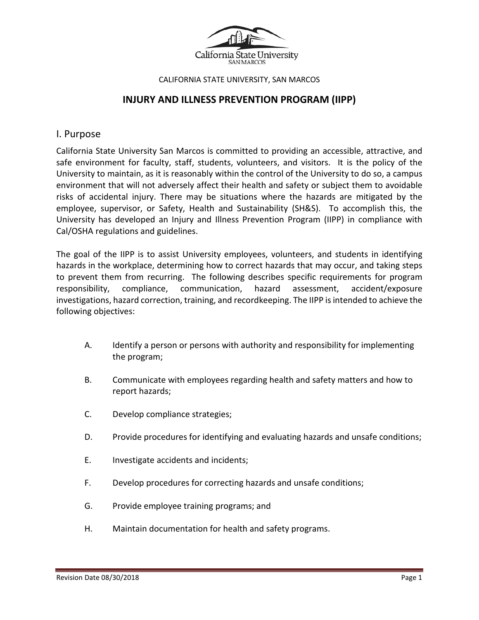

#### CALIFORNIA STATE UNIVERSITY, SAN MARCOS

# **INJURY AND ILLNESS PREVENTION PROGRAM (IIPP)**

## I. Purpose

California State University San Marcos is committed to providing an accessible, attractive, and safe environment for faculty, staff, students, volunteers, and visitors. It is the policy of the University to maintain, as it is reasonably within the control of the University to do so, a campus environment that will not adversely affect their health and safety or subject them to avoidable risks of accidental injury. There may be situations where the hazards are mitigated by the employee, supervisor, or Safety, Health and Sustainability (SH&S). To accomplish this, the University has developed an Injury and Illness Prevention Program (IIPP) in compliance with Cal/OSHA regulations and guidelines.

The goal of the IIPP is to assist University employees, volunteers, and students in identifying hazards in the workplace, determining how to correct hazards that may occur, and taking steps to prevent them from recurring. The following describes specific requirements for program responsibility, compliance, communication, hazard assessment, accident/exposure investigations, hazard correction, training, and recordkeeping. The IIPP is intended to achieve the following objectives:

- A. Identify a person or persons with authority and responsibility for implementing the program;
- B. Communicate with employees regarding health and safety matters and how to report hazards;
- C. Develop compliance strategies;
- D. Provide procedures for identifying and evaluating hazards and unsafe conditions;
- E. Investigate accidents and incidents;
- F. Develop procedures for correcting hazards and unsafe conditions;
- G. Provide employee training programs; and
- H. Maintain documentation for health and safety programs.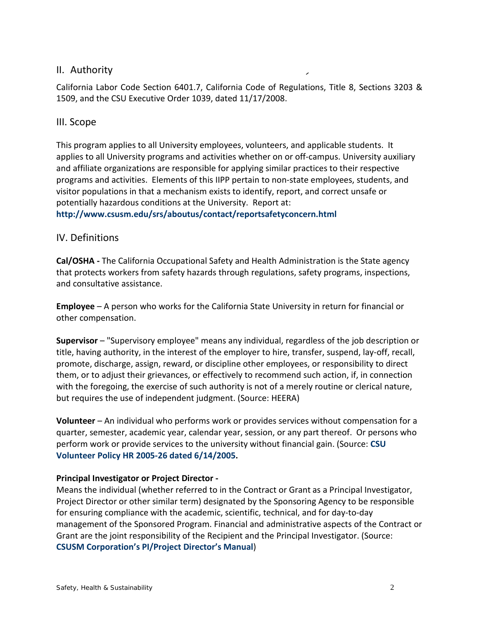# II. Authority

California Labor Code Section 6401.7, California Code of Regulations, Title 8, Sections 3203 & 1509, and the CSU Executive Order 1039, dated 11/17/2008.

# III. Scope

This program applies to all University employees, volunteers, and applicable students. It applies to all University programs and activities whether on or off-campus. University auxiliary and affiliate organizations are responsible for applying similar practices to their respective programs and activities. Elements of this IIPP pertain to non-state employees, students, and visitor populations in that a mechanism exists to identify, report, and correct unsafe or potentially hazardous conditions at the University. Report at:

**<http://www.csusm.edu/srs/aboutus/contact/reportsafetyconcern.html>**

# IV. Definitions

**Cal/OSHA -** The California Occupational Safety and Health Administration is the State agency that protects workers from safety hazards through regulations, safety programs, inspections, and consultative assistance.

**Employee** – A person who works for the California State University in return for financial or other compensation.

**Supervisor** – "Supervisory employee" means any individual, regardless of the job description or title, having authority, in the interest of the employer to hire, transfer, suspend, lay-off, recall, promote, discharge, assign, reward, or discipline other employees, or responsibility to direct them, or to adjust their grievances, or effectively to recommend such action, if, in connection with the foregoing, the exercise of such authority is not of a merely routine or clerical nature, but requires the use of independent judgment. (Source: HEERA)

**Volunteer** – An individual who performs work or provides services without compensation for a quarter, semester, academic year, calendar year, session, or any part thereof. Or persons who perform work or provide services to the university without financial gain. (Source: **[CSU](http://www.calstate.edu/HRAdm/pdf2005/HR2005-26.pdf)  Volunteer Policy [HR 2005-26 dated 6/14/2005.](http://www.calstate.edu/HRAdm/pdf2005/HR2005-26.pdf)**

### **Principal Investigator or Project Director -**

Means the individual (whether referred to in the Contract or Grant as a Principal Investigator, Project Director or other similar term) designated by the Sponsoring Agency to be responsible for ensuring compliance with the academic, scientific, technical, and for day-to-day management of the Sponsored Program. Financial and administrative aspects of the Contract or Grant are the joint responsibility of the Recipient and the Principal Investigator. (Source: **CSUSM Corporation's [PI/Project Director's Manual](http://www.csusm.edu/uarsc/sponsoredprojects/projectadministration.html)**)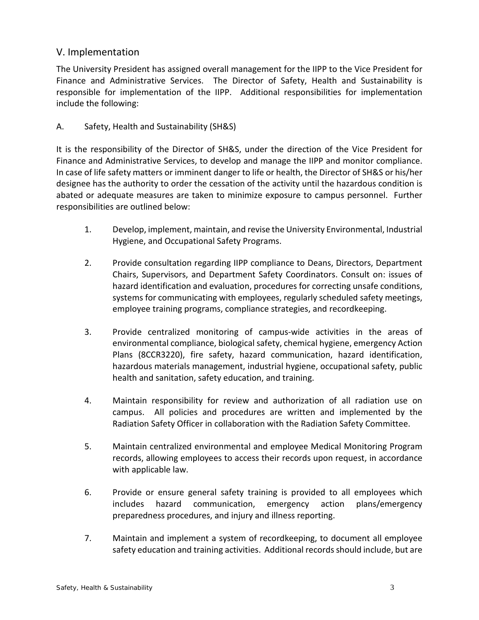# V. Implementation

The University President has assigned overall management for the IIPP to the Vice President for Finance and Administrative Services. The Director of Safety, Health and Sustainability is responsible for implementation of the IIPP. Additional responsibilities for implementation include the following:

# A. Safety, Health and Sustainability (SH&S)

It is the responsibility of the Director of SH&S, under the direction of the Vice President for Finance and Administrative Services, to develop and manage the IIPP and monitor compliance. In case of life safety matters or imminent danger to life or health, the Director of SH&S or his/her designee has the authority to order the cessation of the activity until the hazardous condition is abated or adequate measures are taken to minimize exposure to campus personnel. Further responsibilities are outlined below:

- 1. Develop, implement, maintain, and revise the University Environmental, Industrial Hygiene, and Occupational Safety Programs.
- 2. Provide consultation regarding IIPP compliance to Deans, Directors, Department Chairs, Supervisors, and Department Safety Coordinators. Consult on: issues of hazard identification and evaluation, procedures for correcting unsafe conditions, systems for communicating with employees, regularly scheduled safety meetings, employee training programs, compliance strategies, and recordkeeping.
- 3. Provide centralized monitoring of campus-wide activities in the areas of environmental compliance, biological safety, chemical hygiene, emergency Action Plans (8CCR3220), fire safety, hazard communication, hazard identification, hazardous materials management, industrial hygiene, occupational safety, public health and sanitation, safety education, and training.
- 4. Maintain responsibility for review and authorization of all radiation use on campus. All policies and procedures are written and implemented by the Radiation Safety Officer in collaboration with the Radiation Safety Committee.
- 5. Maintain centralized environmental and employee Medical Monitoring Program records, allowing employees to access their records upon request, in accordance with applicable law.
- 6. Provide or ensure general safety training is provided to all employees which includes hazard communication, emergency action plans/emergency preparedness procedures, and injury and illness reporting.
- 7. Maintain and implement a system of recordkeeping, to document all employee safety education and training activities. Additional records should include, but are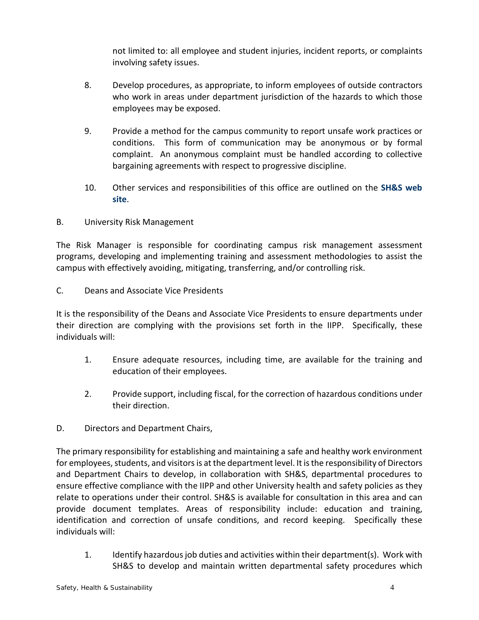not limited to: all employee and student injuries, incident reports, or complaints involving safety issues.

- 8. Develop procedures, as appropriate, to inform employees of outside contractors who work in areas under department jurisdiction of the hazards to which those employees may be exposed.
- 9. Provide a method for the campus community to report unsafe work practices or conditions. This form of communication may be anonymous or by formal complaint. An anonymous complaint must be handled according to collective bargaining agreements with respect to progressive discipline.
- 10. Other services and responsibilities of this office are outlined on the **[SH&S](http://www.csusm.edu/shs) web [site](http://www.csusm.edu/shs)**.
- B. University Risk Management

The Risk Manager is responsible for coordinating campus risk management assessment programs, developing and implementing training and assessment methodologies to assist the campus with effectively avoiding, mitigating, transferring, and/or controlling risk.

C. Deans and Associate Vice Presidents

It is the responsibility of the Deans and Associate Vice Presidents to ensure departments under their direction are complying with the provisions set forth in the IIPP. Specifically, these individuals will:

- 1. Ensure adequate resources, including time, are available for the training and education of their employees.
- 2. Provide support, including fiscal, for the correction of hazardous conditions under their direction.
- D. Directors and Department Chairs,

The primary responsibility for establishing and maintaining a safe and healthy work environment for employees, students, and visitors is at the department level. It is the responsibility of Directors and Department Chairs to develop, in collaboration with SH&S, departmental procedures to ensure effective compliance with the IIPP and other University health and safety policies as they relate to operations under their control. SH&S is available for consultation in this area and can provide document templates. Areas of responsibility include: education and training, identification and correction of unsafe conditions, and record keeping. Specifically these individuals will:

1. Identify hazardous job duties and activities within their department(s). Work with SH&S to develop and maintain written departmental safety procedures which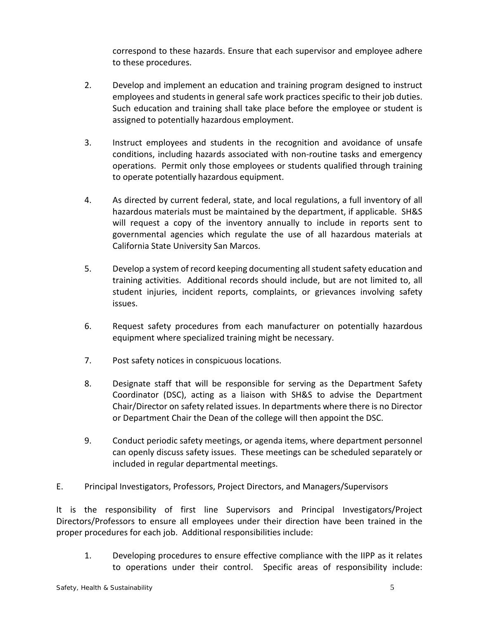correspond to these hazards. Ensure that each supervisor and employee adhere to these procedures.

- 2. Develop and implement an education and training program designed to instruct employees and students in general safe work practices specific to their job duties. Such education and training shall take place before the employee or student is assigned to potentially hazardous employment.
- 3. Instruct employees and students in the recognition and avoidance of unsafe conditions, including hazards associated with non-routine tasks and emergency operations. Permit only those employees or students qualified through training to operate potentially hazardous equipment.
- 4. As directed by current federal, state, and local regulations, a full inventory of all hazardous materials must be maintained by the department, if applicable. SH&S will request a copy of the inventory annually to include in reports sent to governmental agencies which regulate the use of all hazardous materials at California State University San Marcos.
- 5. Develop a system of record keeping documenting all student safety education and training activities. Additional records should include, but are not limited to, all student injuries, incident reports, complaints, or grievances involving safety issues.
- 6. Request safety procedures from each manufacturer on potentially hazardous equipment where specialized training might be necessary.
- 7. Post safety notices in conspicuous locations.
- 8. Designate staff that will be responsible for serving as the Department Safety Coordinator (DSC), acting as a liaison with SH&S to advise the Department Chair/Director on safety related issues. In departments where there is no Director or Department Chair the Dean of the college will then appoint the DSC.
- 9. Conduct periodic safety meetings, or agenda items, where department personnel can openly discuss safety issues. These meetings can be scheduled separately or included in regular departmental meetings.
- E. Principal Investigators, Professors, Project Directors, and Managers/Supervisors

It is the responsibility of first line Supervisors and Principal Investigators/Project Directors/Professors to ensure all employees under their direction have been trained in the proper procedures for each job. Additional responsibilities include:

1. Developing procedures to ensure effective compliance with the IIPP as it relates to operations under their control. Specific areas of responsibility include: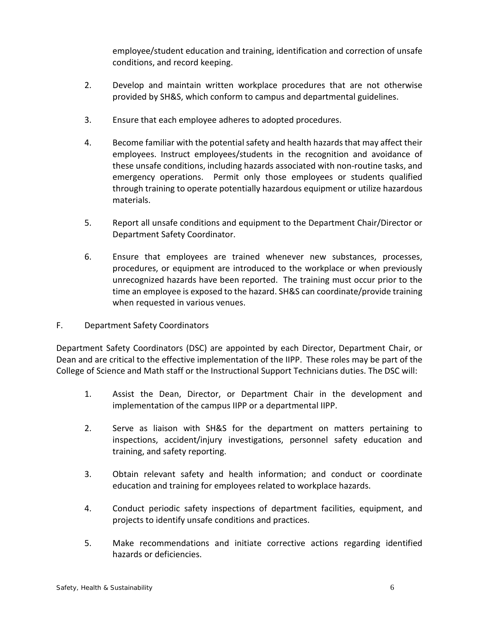employee/student education and training, identification and correction of unsafe conditions, and record keeping.

- 2. Develop and maintain written workplace procedures that are not otherwise provided by SH&S, which conform to campus and departmental guidelines.
- 3. Ensure that each employee adheres to adopted procedures.
- 4. Become familiar with the potential safety and health hazards that may affect their employees. Instruct employees/students in the recognition and avoidance of these unsafe conditions, including hazards associated with non-routine tasks, and emergency operations. Permit only those employees or students qualified through training to operate potentially hazardous equipment or utilize hazardous materials.
- 5. Report all unsafe conditions and equipment to the Department Chair/Director or Department Safety Coordinator.
- 6. Ensure that employees are trained whenever new substances, processes, procedures, or equipment are introduced to the workplace or when previously unrecognized hazards have been reported. The training must occur prior to the time an employee is exposed to the hazard. SH&S can coordinate/provide training when requested in various venues.
- F. Department Safety Coordinators

Department Safety Coordinators (DSC) are appointed by each Director, Department Chair, or Dean and are critical to the effective implementation of the IIPP. These roles may be part of the College of Science and Math staff or the Instructional Support Technicians duties. The DSC will:

- 1. Assist the Dean, Director, or Department Chair in the development and implementation of the campus IIPP or a departmental IIPP.
- 2. Serve as liaison with SH&S for the department on matters pertaining to inspections, accident/injury investigations, personnel safety education and training, and safety reporting.
- 3. Obtain relevant safety and health information; and conduct or coordinate education and training for employees related to workplace hazards.
- 4. Conduct periodic safety inspections of department facilities, equipment, and projects to identify unsafe conditions and practices.
- 5. Make recommendations and initiate corrective actions regarding identified hazards or deficiencies.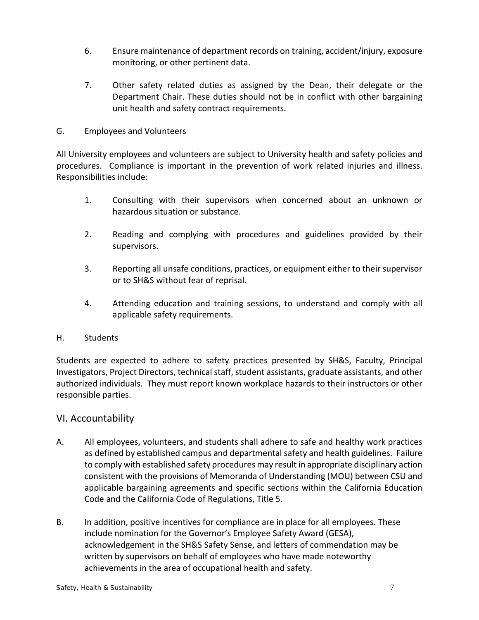- 6. Ensure maintenance of department records on training, accident/injury, exposure monitoring, or other pertinent data.
- 7. Other safety related duties as assigned by the Dean, their delegate or the Department Chair. These duties should not be in conflict with other bargaining unit health and safety contract requirements.
- G. Employees and Volunteers

All University employees and volunteers are subject to University health and safety policies and procedures. Compliance is important in the prevention of work related injuries and illness. Responsibilities include:

- 1. Consulting with their supervisors when concerned about an unknown or hazardous situation or substance.
- 2. Reading and complying with procedures and guidelines provided by their supervisors.
- 3. Reporting all unsafe conditions, practices, or equipment either to their supervisor or to SH&S without fear of reprisal.
- 4. Attending education and training sessions, to understand and comply with all applicable safety requirements.

# H. Students

Students are expected to adhere to safety practices presented by SH&S, Faculty, Principal Investigators, Project Directors, technical staff, student assistants, graduate assistants, and other authorized individuals. They must report known workplace hazards to their instructors or other responsible parties.

# VI. Accountability

- A. All employees, volunteers, and students shall adhere to safe and healthy work practices as defined by established campus and departmental safety and health guidelines. Failure to comply with established safety procedures may result in appropriate disciplinary action consistent with the provisions of Memoranda of Understanding (MOU) between CSU and applicable bargaining agreements and specific sections within the California Education Code and the California Code of Regulations, Title 5.
- B. In addition, positive incentives for compliance are in place for all employees. These include nomination for the Governor's Employee Safety Award (GESA), acknowledgement in the SH&S Safety Sense, and letters of commendation may be written by supervisors on behalf of employees who have made noteworthy achievements in the area of occupational health and safety.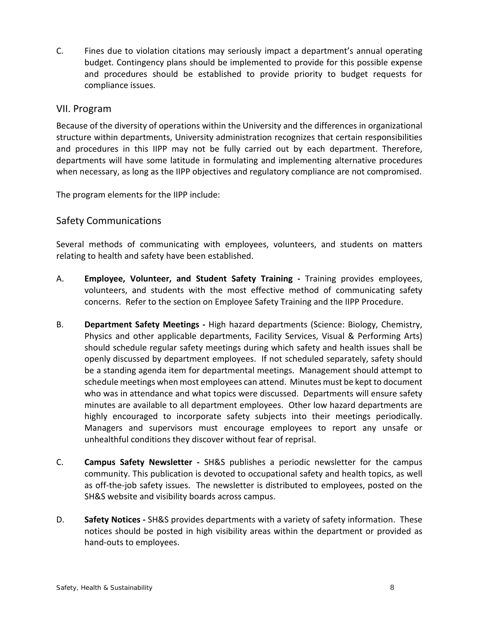C. Fines due to violation citations may seriously impact a department's annual operating budget. Contingency plans should be implemented to provide for this possible expense and procedures should be established to provide priority to budget requests for compliance issues.

# VII. Program

Because of the diversity of operations within the University and the differences in organizational structure within departments, University administration recognizes that certain responsibilities and procedures in this IIPP may not be fully carried out by each department. Therefore, departments will have some latitude in formulating and implementing alternative procedures when necessary, as long as the IIPP objectives and regulatory compliance are not compromised.

The program elements for the IIPP include:

# Safety Communications

Several methods of communicating with employees, volunteers, and students on matters relating to health and safety have been established.

- A. **Employee, Volunteer, and Student Safety Training -** Training provides employees, volunteers, and students with the most effective method of communicating safety concerns. Refer to the section on Employee Safety Training and the IIPP Procedure.
- B. **Department Safety Meetings -** High hazard departments (Science: Biology, Chemistry, Physics and other applicable departments, Facility Services, Visual & Performing Arts) should schedule regular safety meetings during which safety and health issues shall be openly discussed by department employees. If not scheduled separately, safety should be a standing agenda item for departmental meetings. Management should attempt to schedule meetings when most employees can attend. Minutes must be kept to document who was in attendance and what topics were discussed. Departments will ensure safety minutes are available to all department employees. Other low hazard departments are highly encouraged to incorporate safety subjects into their meetings periodically. Managers and supervisors must encourage employees to report any unsafe or unhealthful conditions they discover without fear of reprisal.
- C. **Campus Safety Newsletter -** SH&S publishes a periodic newsletter for the campus community. This publication is devoted to occupational safety and health topics, as well as off-the-job safety issues. The newsletter is distributed to employees, posted on the SH&S website and visibility boards across campus.
- D. **Safety Notices -** SH&S provides departments with a variety of safety information. These notices should be posted in high visibility areas within the department or provided as hand-outs to employees.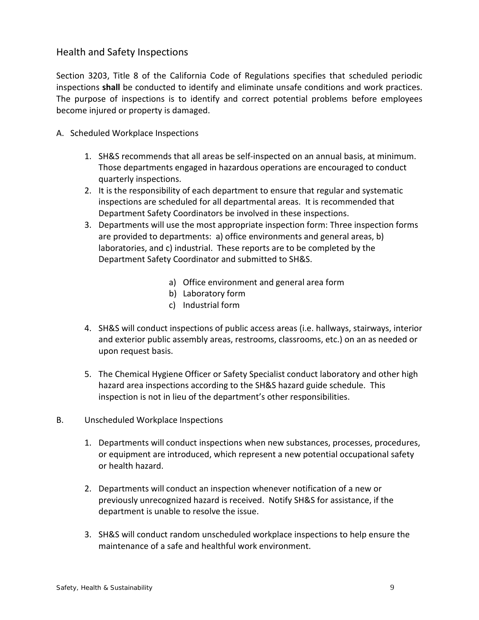# Health and Safety Inspections

Section 3203, Title 8 of the California Code of Regulations specifies that scheduled periodic inspections **shall** be conducted to identify and eliminate unsafe conditions and work practices. The purpose of inspections is to identify and correct potential problems before employees become injured or property is damaged.

- A. Scheduled Workplace Inspections
	- 1. SH&S recommends that all areas be self-inspected on an annual basis, at minimum. Those departments engaged in hazardous operations are encouraged to conduct quarterly inspections.
	- 2. It is the responsibility of each department to ensure that regular and systematic inspections are scheduled for all departmental areas. It is recommended that Department Safety Coordinators be involved in these inspections.
	- 3. Departments will use the most appropriate inspection form: Three inspection forms are provided to departments: a) office environments and general areas, b) laboratories, and c) industrial. These reports are to be completed by the Department Safety Coordinator and submitted to SH&S.
		- a) Office environment and general area form
		- b) Laboratory form
		- c) Industrial form
	- 4. SH&S will conduct inspections of public access areas (i.e. hallways, stairways, interior and exterior public assembly areas, restrooms, classrooms, etc.) on an as needed or upon request basis.
	- 5. The Chemical Hygiene Officer or Safety Specialist conduct laboratory and other high hazard area inspections according to the SH&S hazard guide schedule. This inspection is not in lieu of the department's other responsibilities.
- B. Unscheduled Workplace Inspections
	- 1. Departments will conduct inspections when new substances, processes, procedures, or equipment are introduced, which represent a new potential occupational safety or health hazard.
	- 2. Departments will conduct an inspection whenever notification of a new or previously unrecognized hazard is received. Notify SH&S for assistance, if the department is unable to resolve the issue.
	- 3. SH&S will conduct random unscheduled workplace inspections to help ensure the maintenance of a safe and healthful work environment.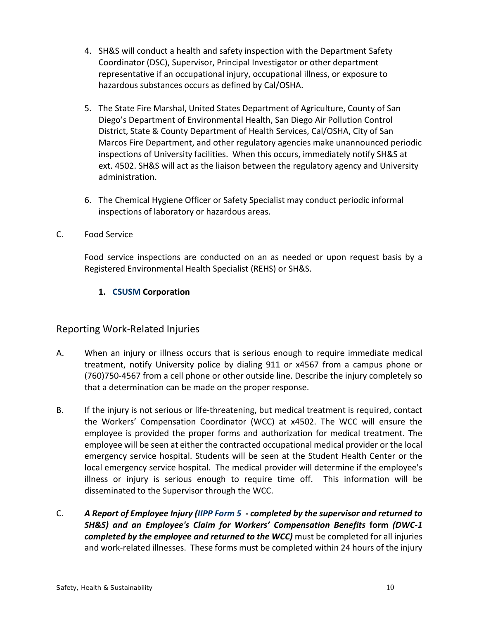- 4. SH&S will conduct a health and safety inspection with the Department Safety Coordinator (DSC), Supervisor, Principal Investigator or other department representative if an occupational injury, occupational illness, or exposure to hazardous substances occurs as defined by Cal/OSHA.
- 5. The State Fire Marshal, United States Department of Agriculture, County of San Diego's Department of Environmental Health, San Diego Air Pollution Control District, State & County Department of Health Services, Cal/OSHA, City of San Marcos Fire Department, and other regulatory agencies make unannounced periodic inspections of University facilities. When this occurs, immediately notify SH&S at ext. 4502. SH&S will act as the liaison between the regulatory agency and University administration.
- 6. The Chemical Hygiene Officer or Safety Specialist may conduct periodic informal inspections of laboratory or hazardous areas.

# C. Food Service

Food service inspections are conducted on an as needed or upon request basis by a Registered Environmental Health Specialist (REHS) or SH&S.

# **1. [CSUSM](https://www.csusm.edu/corp/) Corporation**

# Reporting Work-Related Injuries

- A. When an injury or illness occurs that is serious enough to require immediate medical treatment, notify University police by dialing 911 or x4567 from a campus phone or (760)750-4567 from a cell phone or other outside line. Describe the injury completely so that a determination can be made on the proper response.
- B. If the injury is not serious or life-threatening, but medical treatment is required, contact the Workers' Compensation Coordinator (WCC) at x4502. The WCC will ensure the employee is provided the proper forms and authorization for medical treatment. The employee will be seen at either the contracted occupational medical provider or the local emergency service hospital. Students will be seen at the Student Health Center or the local emergency service hospital. The medical provider will determine if the employee's illness or injury is serious enough to require time off. This information will be disseminated to the Supervisor through the WCC.
- C. *A Report of Employee Injury [\(IIPP Form 5](http://www.csusm.edu/rms/forms.html) - completed by the supervisor and returned to SH&S) and an Employee's Claim for Workers' Compensation Benefits* **form** *(DWC-1 completed by the employee and returned to the WCC)* must be completed for all injuries and work-related illnesses. These forms must be completed within 24 hours of the injury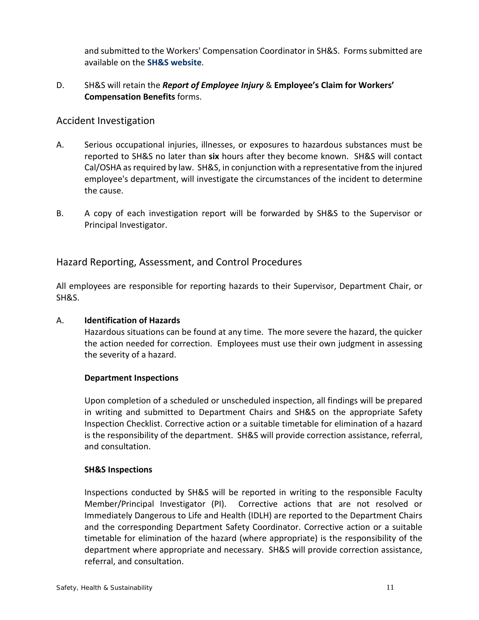and submitted to the Workers' Compensation Coordinator in SH&S. Forms submitted are available on the **SH&S [website](http://www.csusm.edu/shs)**.

## D. SH&S will retain the *Report of Employee Injury* & **Employee's Claim for Workers' Compensation Benefits** forms.

# Accident Investigation

- A. Serious occupational injuries, illnesses, or exposures to hazardous substances must be reported to SH&S no later than **six** hours after they become known. SH&S will contact Cal/OSHA as required by law. SH&S, in conjunction with a representative from the injured employee's department, will investigate the circumstances of the incident to determine the cause.
- B. A copy of each investigation report will be forwarded by SH&S to the Supervisor or Principal Investigator.

# Hazard Reporting, Assessment, and Control Procedures

All employees are responsible for reporting hazards to their Supervisor, Department Chair, or SH&S.

### A. **Identification of Hazards**

Hazardous situations can be found at any time. The more severe the hazard, the quicker the action needed for correction. Employees must use their own judgment in assessing the severity of a hazard.

### **Department Inspections**

Upon completion of a scheduled or unscheduled inspection, all findings will be prepared in writing and submitted to Department Chairs and SH&S on the appropriate Safety Inspection Checklist. Corrective action or a suitable timetable for elimination of a hazard is the responsibility of the department. SH&S will provide correction assistance, referral, and consultation.

### **SH&S Inspections**

Inspections conducted by SH&S will be reported in writing to the responsible Faculty Member/Principal Investigator (PI). Corrective actions that are not resolved or Immediately Dangerous to Life and Health (IDLH) are reported to the Department Chairs and the corresponding Department Safety Coordinator. Corrective action or a suitable timetable for elimination of the hazard (where appropriate) is the responsibility of the department where appropriate and necessary. SH&S will provide correction assistance, referral, and consultation.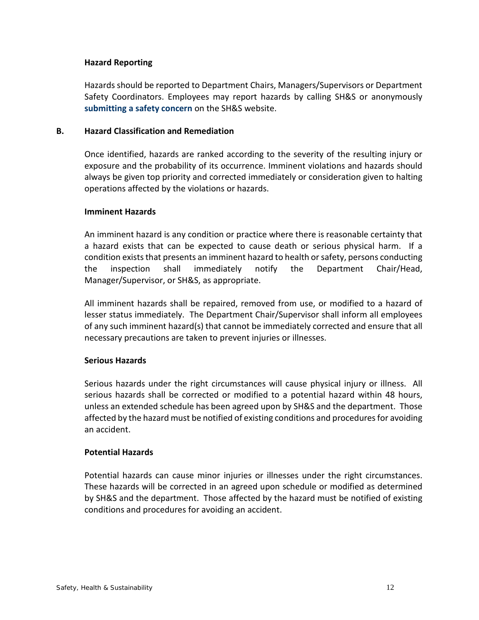### **Hazard Reporting**

Hazards should be reported to Department Chairs, Managers/Supervisors or Department Safety Coordinators. Employees may report hazards by calling SH&S or anonymously **[submitting a safety concern](http://www.csusm.edu/srs/aboutus/report_safety_concern.html)** on the SH&S website.

#### **B. Hazard Classification and Remediation**

Once identified, hazards are ranked according to the severity of the resulting injury or exposure and the probability of its occurrence. Imminent violations and hazards should always be given top priority and corrected immediately or consideration given to halting operations affected by the violations or hazards.

#### **Imminent Hazards**

An imminent hazard is any condition or practice where there is reasonable certainty that a hazard exists that can be expected to cause death or serious physical harm. If a condition exists that presents an imminent hazard to health or safety, persons conducting the inspection shall immediately notify the Department Chair/Head, Manager/Supervisor, or SH&S, as appropriate.

All imminent hazards shall be repaired, removed from use, or modified to a hazard of lesser status immediately. The Department Chair/Supervisor shall inform all employees of any such imminent hazard(s) that cannot be immediately corrected and ensure that all necessary precautions are taken to prevent injuries or illnesses.

### **Serious Hazards**

Serious hazards under the right circumstances will cause physical injury or illness. All serious hazards shall be corrected or modified to a potential hazard within 48 hours, unless an extended schedule has been agreed upon by SH&S and the department. Those affected by the hazard must be notified of existing conditions and procedures for avoiding an accident.

### **Potential Hazards**

Potential hazards can cause minor injuries or illnesses under the right circumstances. These hazards will be corrected in an agreed upon schedule or modified as determined by SH&S and the department. Those affected by the hazard must be notified of existing conditions and procedures for avoiding an accident.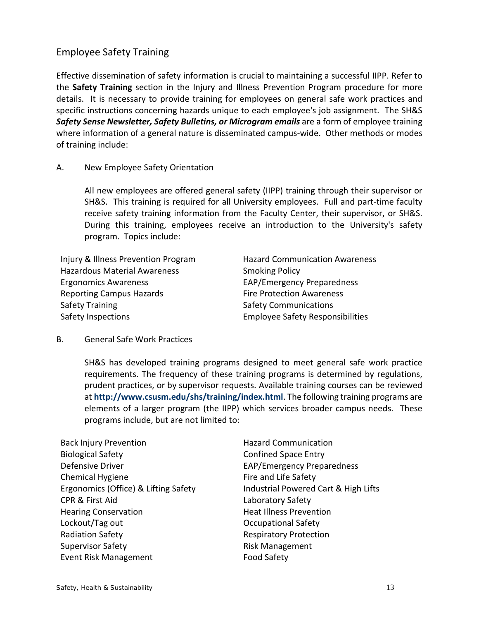# Employee Safety Training

Effective dissemination of safety information is crucial to maintaining a successful IIPP. Refer to the **Safety Training** section in the Injury and Illness Prevention Program procedure for more details. It is necessary to provide training for employees on general safe work practices and specific instructions concerning hazards unique to each employee's job assignment. The SH&S *Safety Sense Newsletter, Safety Bulletins, or Microgram emails* are a form of employee training where information of a general nature is disseminated campus-wide. Other methods or modes of training include:

## A. New Employee Safety Orientation

All new employees are offered general safety (IIPP) training through their supervisor or SH&S. This training is required for all University employees. Full and part-time faculty receive safety training information from the Faculty Center, their supervisor, or SH&S. During this training, employees receive an introduction to the University's safety program. Topics include:

Injury & Illness Prevention Program Hazard Communication Awareness Hazardous Material Awareness Smoking Policy Ergonomics Awareness EAP/Emergency Preparedness Reporting Campus Hazards<br>
Fire Protection Awareness Safety Training Safety Communications Safety Inspections Employee Safety Responsibilities

B. General Safe Work Practices

SH&S has developed training programs designed to meet general safe work practice requirements. The frequency of these training programs is determined by regulations, prudent practices, or by supervisor requests. Available training courses can be reviewed at **<http://www.csusm.edu/shs/training/index.html>**. The following training programs are elements of a larger program (the IIPP) which services broader campus needs. These programs include, but are not limited to:

| <b>Back Injury Prevention</b>        | <b>Hazard Com</b>   |
|--------------------------------------|---------------------|
| <b>Biological Safety</b>             | Confined Sp         |
| Defensive Driver                     | EAP/Emerge          |
| <b>Chemical Hygiene</b>              | Fire and Life       |
| Ergonomics (Office) & Lifting Safety | Industrial Po       |
| CPR & First Aid                      | Laboratory:         |
| <b>Hearing Conservation</b>          | <b>Heat Illness</b> |
| Lockout/Tag out                      | Occupation          |
| <b>Radiation Safety</b>              | Respiratory         |
| <b>Supervisor Safety</b>             | Risk Manage         |
| <b>Event Risk Management</b>         | <b>Food Safety</b>  |
|                                      |                     |

d Communication ned Space Entry **Imergency Preparedness** nd Life Safety trial Powered Cart & High Lifts atory Safety Illness Prevention oational Safety ratory Protection Aanagement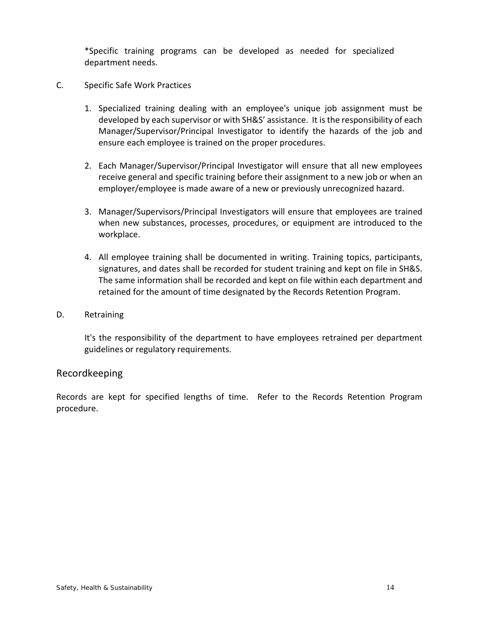\*Specific training programs can be developed as needed for specialized department needs.

- C. Specific Safe Work Practices
	- 1. Specialized training dealing with an employee's unique job assignment must be developed by each supervisor or with SH&S' assistance. It is the responsibility of each Manager/Supervisor/Principal Investigator to identify the hazards of the job and ensure each employee is trained on the proper procedures.
	- 2. Each Manager/Supervisor/Principal Investigator will ensure that all new employees receive general and specific training before their assignment to a new job or when an employer/employee is made aware of a new or previously unrecognized hazard.
	- 3. Manager/Supervisors/Principal Investigators will ensure that employees are trained when new substances, processes, procedures, or equipment are introduced to the workplace.
	- 4. All employee training shall be documented in writing. Training topics, participants, signatures, and dates shall be recorded for student training and kept on file in SH&S. The same information shall be recorded and kept on file within each department and retained for the amount of time designated by the Records Retention Program.
- D. Retraining

It's the responsibility of the department to have employees retrained per department guidelines or regulatory requirements.

# Recordkeeping

Records are kept for specified lengths of time. Refer to the Records Retention Program procedure.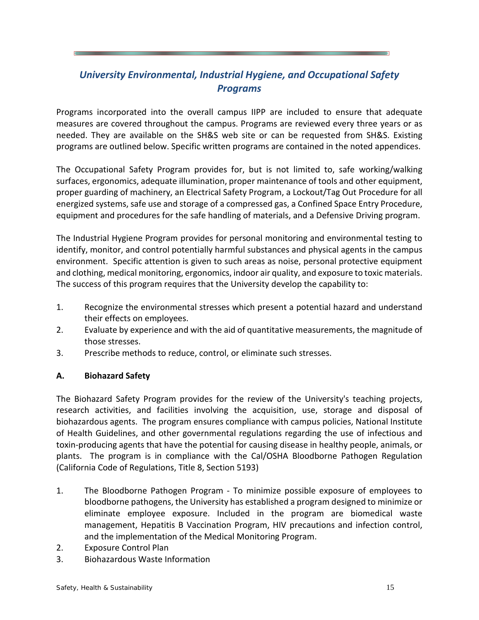# *University Environmental, Industrial Hygiene, and Occupational Safety Programs*

Programs incorporated into the overall campus IIPP are included to ensure that adequate measures are covered throughout the campus. Programs are reviewed every three years or as needed. They are available on the SH&S web site or can be requested from SH&S. Existing programs are outlined below. Specific written programs are contained in the noted appendices.

The Occupational Safety Program provides for, but is not limited to, safe working/walking surfaces, ergonomics, adequate illumination, proper maintenance of tools and other equipment, proper guarding of machinery, an Electrical Safety Program, a Lockout/Tag Out Procedure for all energized systems, safe use and storage of a compressed gas, a Confined Space Entry Procedure, equipment and procedures for the safe handling of materials, and a Defensive Driving program.

The Industrial Hygiene Program provides for personal monitoring and environmental testing to identify, monitor, and control potentially harmful substances and physical agents in the campus environment. Specific attention is given to such areas as noise, personal protective equipment and clothing, medical monitoring, ergonomics, indoor air quality, and exposure to toxic materials. The success of this program requires that the University develop the capability to:

- 1. Recognize the environmental stresses which present a potential hazard and understand their effects on employees.
- 2. Evaluate by experience and with the aid of quantitative measurements, the magnitude of those stresses.
- 3. Prescribe methods to reduce, control, or eliminate such stresses.

# **A. Biohazard Safety**

The Biohazard Safety Program provides for the review of the University's teaching projects, research activities, and facilities involving the acquisition, use, storage and disposal of biohazardous agents. The program ensures compliance with campus policies, National Institute of Health Guidelines, and other governmental regulations regarding the use of infectious and toxin-producing agents that have the potential for causing disease in healthy people, animals, or plants. The program is in compliance with the Cal/OSHA Bloodborne Pathogen Regulation (California Code of Regulations, Title 8, Section 5193)

- 1. The Bloodborne Pathogen Program To minimize possible exposure of employees to bloodborne pathogens, the University has established a program designed to minimize or eliminate employee exposure. Included in the program are biomedical waste management, Hepatitis B Vaccination Program, HIV precautions and infection control, and the implementation of the Medical Monitoring Program.
- 2. Exposure Control Plan
- 3. Biohazardous Waste Information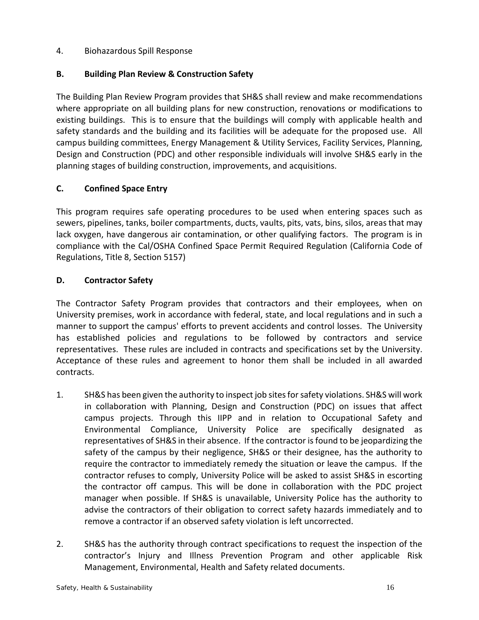## 4. Biohazardous Spill Response

## **B. Building Plan Review & Construction Safety**

The Building Plan Review Program provides that SH&S shall review and make recommendations where appropriate on all building plans for new construction, renovations or modifications to existing buildings. This is to ensure that the buildings will comply with applicable health and safety standards and the building and its facilities will be adequate for the proposed use. All campus building committees, Energy Management & Utility Services, Facility Services, Planning, Design and Construction (PDC) and other responsible individuals will involve SH&S early in the planning stages of building construction, improvements, and acquisitions.

## **C. Confined Space Entry**

This program requires safe operating procedures to be used when entering spaces such as sewers, pipelines, tanks, boiler compartments, ducts, vaults, pits, vats, bins, silos, areas that may lack oxygen, have dangerous air contamination, or other qualifying factors. The program is in compliance with the Cal/OSHA Confined Space Permit Required Regulation (California Code of Regulations, Title 8, Section 5157)

## **D. Contractor Safety**

The Contractor Safety Program provides that contractors and their employees, when on University premises, work in accordance with federal, state, and local regulations and in such a manner to support the campus' efforts to prevent accidents and control losses. The University has established policies and regulations to be followed by contractors and service representatives. These rules are included in contracts and specifications set by the University. Acceptance of these rules and agreement to honor them shall be included in all awarded contracts.

- 1. SH&S has been given the authority to inspect job sites for safety violations. SH&S will work in collaboration with Planning, Design and Construction (PDC) on issues that affect campus projects. Through this IIPP and in relation to Occupational Safety and Environmental Compliance, University Police are specifically designated as representatives of SH&S in their absence. If the contractor is found to be jeopardizing the safety of the campus by their negligence, SH&S or their designee, has the authority to require the contractor to immediately remedy the situation or leave the campus. If the contractor refuses to comply, University Police will be asked to assist SH&S in escorting the contractor off campus. This will be done in collaboration with the PDC project manager when possible. If SH&S is unavailable, University Police has the authority to advise the contractors of their obligation to correct safety hazards immediately and to remove a contractor if an observed safety violation is left uncorrected.
- 2. SH&S has the authority through contract specifications to request the inspection of the contractor's Injury and Illness Prevention Program and other applicable Risk Management, Environmental, Health and Safety related documents.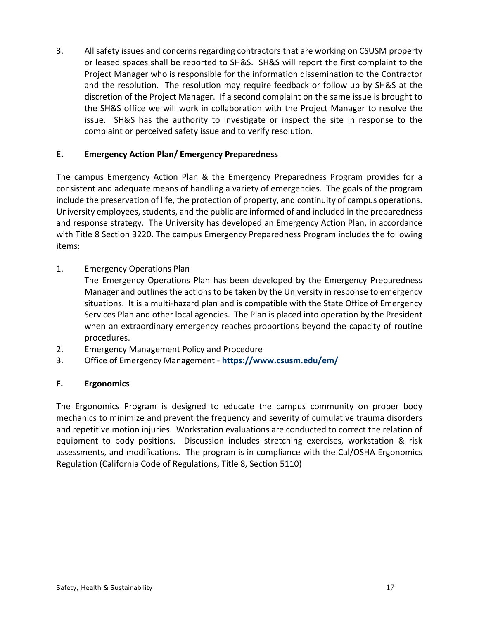3. All safety issues and concerns regarding contractors that are working on CSUSM property or leased spaces shall be reported to SH&S. SH&S will report the first complaint to the Project Manager who is responsible for the information dissemination to the Contractor and the resolution. The resolution may require feedback or follow up by SH&S at the discretion of the Project Manager. If a second complaint on the same issue is brought to the SH&S office we will work in collaboration with the Project Manager to resolve the issue. SH&S has the authority to investigate or inspect the site in response to the complaint or perceived safety issue and to verify resolution.

# **E. Emergency Action Plan/ Emergency Preparedness**

The campus Emergency Action Plan & the Emergency Preparedness Program provides for a consistent and adequate means of handling a variety of emergencies. The goals of the program include the preservation of life, the protection of property, and continuity of campus operations. University employees, students, and the public are informed of and included in the preparedness and response strategy. The University has developed an Emergency Action Plan, in accordance with Title 8 Section 3220. The campus Emergency Preparedness Program includes the following items:

- 1. Emergency Operations Plan
	- The Emergency Operations Plan has been developed by the Emergency Preparedness Manager and outlines the actions to be taken by the University in response to emergency situations. It is a multi-hazard plan and is compatible with the State Office of Emergency Services Plan and other local agencies. The Plan is placed into operation by the President when an extraordinary emergency reaches proportions beyond the capacity of routine procedures.
- 2. Emergency Management Policy and Procedure
- 3. Office of Emergency Management **<https://www.csusm.edu/em/>**

# **F. Ergonomics**

The Ergonomics Program is designed to educate the campus community on proper body mechanics to minimize and prevent the frequency and severity of cumulative trauma disorders and repetitive motion injuries. Workstation evaluations are conducted to correct the relation of equipment to body positions. Discussion includes stretching exercises, workstation & risk assessments, and modifications. The program is in compliance with the Cal/OSHA Ergonomics Regulation (California Code of Regulations, Title 8, Section 5110)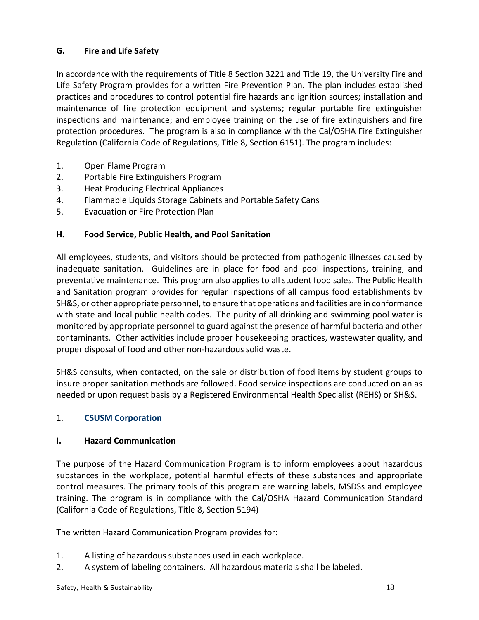# **G. Fire and Life Safety**

In accordance with the requirements of Title 8 Section 3221 and Title 19, the University Fire and Life Safety Program provides for a written Fire Prevention Plan. The plan includes established practices and procedures to control potential fire hazards and ignition sources; installation and maintenance of fire protection equipment and systems; regular portable fire extinguisher inspections and maintenance; and employee training on the use of fire extinguishers and fire protection procedures. The program is also in compliance with the Cal/OSHA Fire Extinguisher Regulation (California Code of Regulations, Title 8, Section 6151). The program includes:

- 1. Open Flame Program
- 2. Portable Fire Extinguishers Program
- 3. Heat Producing Electrical Appliances
- 4. Flammable Liquids Storage Cabinets and Portable Safety Cans
- 5. Evacuation or Fire Protection Plan

# **H. Food Service, Public Health, and Pool Sanitation**

All employees, students, and visitors should be protected from pathogenic illnesses caused by inadequate sanitation. Guidelines are in place for food and pool inspections, training, and preventative maintenance. This program also applies to all student food sales. The Public Health and Sanitation program provides for regular inspections of all campus food establishments by SH&S, or other appropriate personnel, to ensure that operations and facilities are in conformance with state and local public health codes. The purity of all drinking and swimming pool water is monitored by appropriate personnel to guard against the presence of harmful bacteria and other contaminants. Other activities include proper housekeeping practices, wastewater quality, and proper disposal of food and other non-hazardous solid waste.

SH&S consults, when contacted, on the sale or distribution of food items by student groups to insure proper sanitation methods are followed. Food service inspections are conducted on an as needed or upon request basis by a Registered Environmental Health Specialist (REHS) or SH&S.

### 1. **[CSUSM](https://www.csusm.edu/corp/) [Corporation](https://www.csusm.edu/corp/)**

### **I. Hazard Communication**

The purpose of the Hazard Communication Program is to inform employees about hazardous substances in the workplace, potential harmful effects of these substances and appropriate control measures. The primary tools of this program are warning labels, MSDSs and employee training. The program is in compliance with the Cal/OSHA Hazard Communication Standard (California Code of Regulations, Title 8, Section 5194)

The written Hazard Communication Program provides for:

- 1. A listing of hazardous substances used in each workplace.
- 2. A system of labeling containers. All hazardous materials shall be labeled.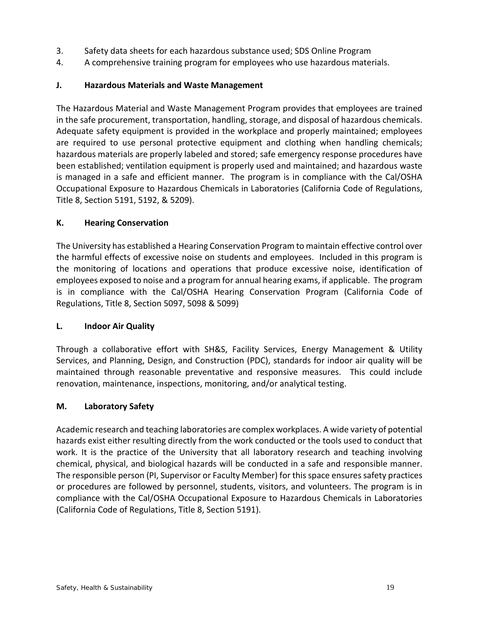- 3. Safety data sheets for each hazardous substance used; SDS Online Program
- 4. A comprehensive training program for employees who use hazardous materials.

# **J. Hazardous Materials and Waste Management**

The Hazardous Material and Waste Management Program provides that employees are trained in the safe procurement, transportation, handling, storage, and disposal of hazardous chemicals. Adequate safety equipment is provided in the workplace and properly maintained; employees are required to use personal protective equipment and clothing when handling chemicals; hazardous materials are properly labeled and stored; safe emergency response procedures have been established; ventilation equipment is properly used and maintained; and hazardous waste is managed in a safe and efficient manner. The program is in compliance with the Cal/OSHA Occupational Exposure to Hazardous Chemicals in Laboratories (California Code of Regulations, Title 8, Section 5191, 5192, & 5209).

# **K. Hearing Conservation**

The University has established a Hearing Conservation Program to maintain effective control over the harmful effects of excessive noise on students and employees. Included in this program is the monitoring of locations and operations that produce excessive noise, identification of employees exposed to noise and a program for annual hearing exams, if applicable. The program is in compliance with the Cal/OSHA Hearing Conservation Program (California Code of Regulations, Title 8, Section 5097, 5098 & 5099)

# **L. Indoor Air Quality**

Through a collaborative effort with SH&S, Facility Services, Energy Management & Utility Services, and Planning, Design, and Construction (PDC), standards for indoor air quality will be maintained through reasonable preventative and responsive measures. This could include renovation, maintenance, inspections, monitoring, and/or analytical testing.

# **M. Laboratory Safety**

Academic research and teaching laboratories are complex workplaces. A wide variety of potential hazards exist either resulting directly from the work conducted or the tools used to conduct that work. It is the practice of the University that all laboratory research and teaching involving chemical, physical, and biological hazards will be conducted in a safe and responsible manner. The responsible person (PI, Supervisor or Faculty Member) for this space ensuressafety practices or procedures are followed by personnel, students, visitors, and volunteers. The program is in compliance with the Cal/OSHA Occupational Exposure to Hazardous Chemicals in Laboratories (California Code of Regulations, Title 8, Section 5191).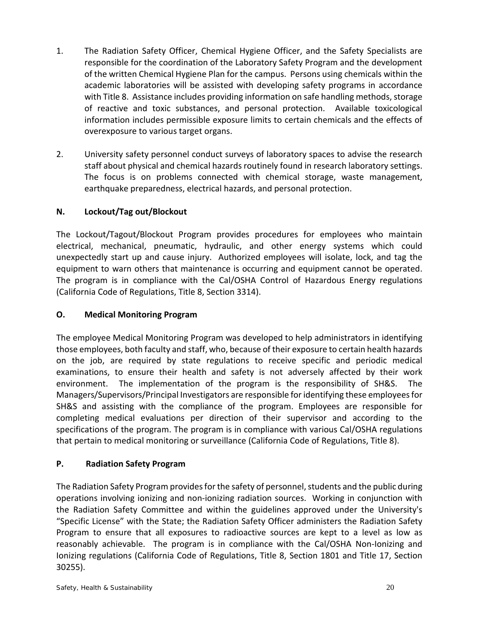- 1. The Radiation Safety Officer, Chemical Hygiene Officer, and the Safety Specialists are responsible for the coordination of the Laboratory Safety Program and the development of the written Chemical Hygiene Plan for the campus. Persons using chemicals within the academic laboratories will be assisted with developing safety programs in accordance with Title 8. Assistance includes providing information on safe handling methods, storage of reactive and toxic substances, and personal protection. Available toxicological information includes permissible exposure limits to certain chemicals and the effects of overexposure to various target organs.
- 2. University safety personnel conduct surveys of laboratory spaces to advise the research staff about physical and chemical hazards routinely found in research laboratory settings. The focus is on problems connected with chemical storage, waste management, earthquake preparedness, electrical hazards, and personal protection.

# **N. Lockout/Tag out/Blockout**

The Lockout/Tagout/Blockout Program provides procedures for employees who maintain electrical, mechanical, pneumatic, hydraulic, and other energy systems which could unexpectedly start up and cause injury. Authorized employees will isolate, lock, and tag the equipment to warn others that maintenance is occurring and equipment cannot be operated. The program is in compliance with the Cal/OSHA Control of Hazardous Energy regulations (California Code of Regulations, Title 8, Section 3314).

# **O. Medical Monitoring Program**

The employee Medical Monitoring Program was developed to help administrators in identifying those employees, both faculty and staff, who, because of their exposure to certain health hazards on the job, are required by state regulations to receive specific and periodic medical examinations, to ensure their health and safety is not adversely affected by their work environment. The implementation of the program is the responsibility of SH&S. The Managers/Supervisors/Principal Investigators are responsible for identifying these employees for SH&S and assisting with the compliance of the program. Employees are responsible for completing medical evaluations per direction of their supervisor and according to the specifications of the program. The program is in compliance with various Cal/OSHA regulations that pertain to medical monitoring or surveillance (California Code of Regulations, Title 8).

# **P. Radiation Safety Program**

The Radiation Safety Program provides for the safety of personnel, students and the public during operations involving ionizing and non-ionizing radiation sources. Working in conjunction with the Radiation Safety Committee and within the guidelines approved under the University's "Specific License" with the State; the Radiation Safety Officer administers the Radiation Safety Program to ensure that all exposures to radioactive sources are kept to a level as low as reasonably achievable. The program is in compliance with the Cal/OSHA Non-Ionizing and Ionizing regulations (California Code of Regulations, Title 8, Section 1801 and Title 17, Section 30255).